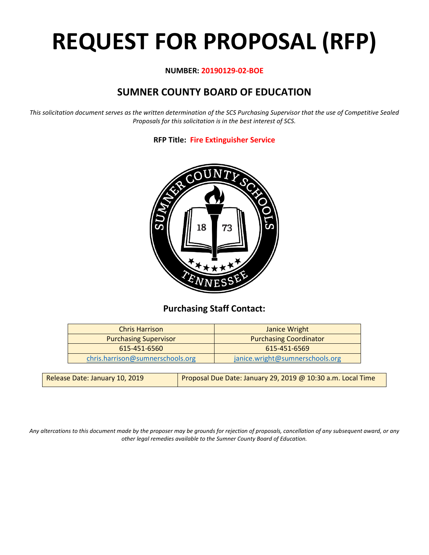# **REQUEST FOR PROPOSAL (RFP)**

#### **NUMBER: 20190129-02-BOE**

# **SUMNER COUNTY BOARD OF EDUCATION**

*This solicitation document serves as the written determination of the SCS Purchasing Supervisor that the use of Competitive Sealed Proposals for this solicitation is in the best interest of SCS.*

**RFP Title: Fire Extinguisher Service**



# **Purchasing Staff Contact:**

| <b>Chris Harrison</b>            | Janice Wright                   |  |  |  |  |
|----------------------------------|---------------------------------|--|--|--|--|
| <b>Purchasing Supervisor</b>     | <b>Purchasing Coordinator</b>   |  |  |  |  |
| 615-451-6560                     | 615-451-6569                    |  |  |  |  |
| chris.harrison@sumnerschools.org | janice.wright@sumnerschools.org |  |  |  |  |

| Release Date: January 10, 2019 | Proposal Due Date: January 29, 2019 @ 10:30 a.m. Local Time |
|--------------------------------|-------------------------------------------------------------|
|                                |                                                             |

*Any altercations to this document made by the proposer may be grounds for rejection of proposals, cancellation of any subsequent award, or any other legal remedies available to the Sumner County Board of Education.*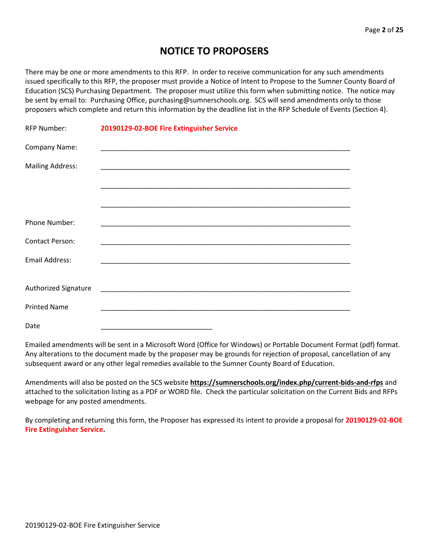# **NOTICE TO PROPOSERS**

There may be one or more amendments to this RFP. In order to receive communication for any such amendments issued specifically to this RFP, the proposer must provide a Notice of Intent to Propose to the Sumner County Board of Education (SCS) Purchasing Department. The proposer must utilize this form when submitting notice. The notice may be sent by email to: Purchasing Office, purchasing@sumnerschools.org. SCS will send amendments only to those proposers which complete and return this information by the deadline list in the RFP Schedule of Events (Section 4).

| <b>RFP Number:</b>      | 20190129-02-BOE Fire Extinguisher Service                         |
|-------------------------|-------------------------------------------------------------------|
| Company Name:           |                                                                   |
| <b>Mailing Address:</b> |                                                                   |
|                         |                                                                   |
|                         |                                                                   |
| Phone Number:           |                                                                   |
| <b>Contact Person:</b>  |                                                                   |
| Email Address:          |                                                                   |
|                         |                                                                   |
| Authorized Signature    |                                                                   |
| <b>Printed Name</b>     | <u> 1980 - Johann John Stone, mars eta biztanleria (h. 1980).</u> |
| Date                    |                                                                   |

Emailed amendments will be sent in a Microsoft Word (Office for Windows) or Portable Document Format (pdf) format. Any alterations to the document made by the proposer may be grounds for rejection of proposal, cancellation of any subsequent award or any other legal remedies available to the Sumner County Board of Education.

Amendments will also be posted on the SCS website **https://sumnerschools.org/index.php/current-bids-and-rfps** and attached to the solicitation listing as a PDF or WORD file. Check the particular solicitation on the Current Bids and RFPs webpage for any posted amendments.

By completing and returning this form, the Proposer has expressed its intent to provide a proposal for **20190129-02-BOE Fire Extinguisher Service.**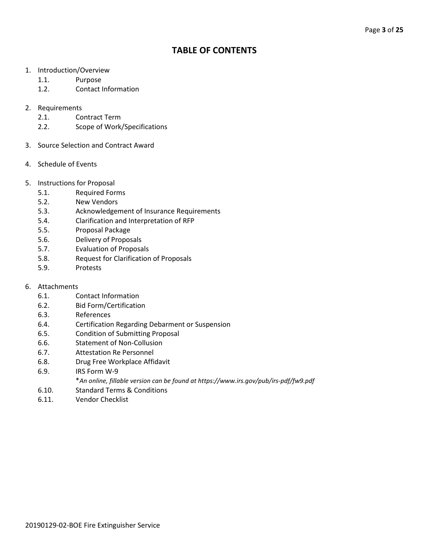# **TABLE OF CONTENTS**

- 1. Introduction/Overview
	- 1.1. Purpose
	- 1.2. Contact Information

#### 2. Requirements

- 2.1. Contract Term
- 2.2. Scope of Work/Specifications
- 3. Source Selection and Contract Award
- 4. Schedule of Events
- 5. Instructions for Proposal
	- 5.1. Required Forms
	- 5.2. New Vendors
	- 5.3. Acknowledgement of Insurance Requirements
	- 5.4. Clarification and Interpretation of RFP
	- 5.5. Proposal Package
	- 5.6. Delivery of Proposals
	- 5.7. Evaluation of Proposals
	- 5.8. Request for Clarification of Proposals
	- 5.9. Protests
- 6. Attachments
	- 6.1. Contact Information
	- 6.2. Bid Form/Certification
	- 6.3. References
	- 6.4. Certification Regarding Debarment or Suspension
	- 6.5. Condition of Submitting Proposal
	- 6.6. Statement of Non-Collusion
	- 6.7. Attestation Re Personnel
	- 6.8. Drug Free Workplace Affidavit
	- 6.9. IRS Form W-9
		- \**An online, fillable version can be found at https://www.irs.gov/pub/irs-pdf/fw9.pdf*
	- 6.10. Standard Terms & Conditions
	- 6.11. Vendor Checklist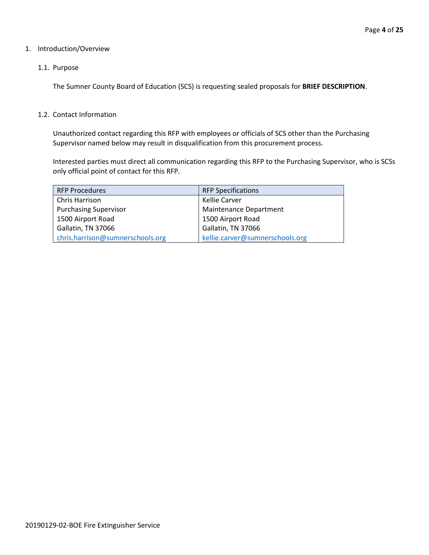#### 1. Introduction/Overview

#### 1.1. Purpose

The Sumner County Board of Education (SCS) is requesting sealed proposals for **BRIEF DESCRIPTION**.

#### 1.2. Contact Information

Unauthorized contact regarding this RFP with employees or officials of SCS other than the Purchasing Supervisor named below may result in disqualification from this procurement process.

Interested parties must direct all communication regarding this RFP to the Purchasing Supervisor, who is SCSs only official point of contact for this RFP.

| <b>RFP Procedures</b>            | <b>RFP Specifications</b>       |
|----------------------------------|---------------------------------|
| Chris Harrison                   | Kellie Carver                   |
| <b>Purchasing Supervisor</b>     | <b>Maintenance Department</b>   |
| 1500 Airport Road                | 1500 Airport Road               |
| Gallatin, TN 37066               | Gallatin, TN 37066              |
| chris.harrison@sumnerschools.org | kellie.carver@sumnerschools.org |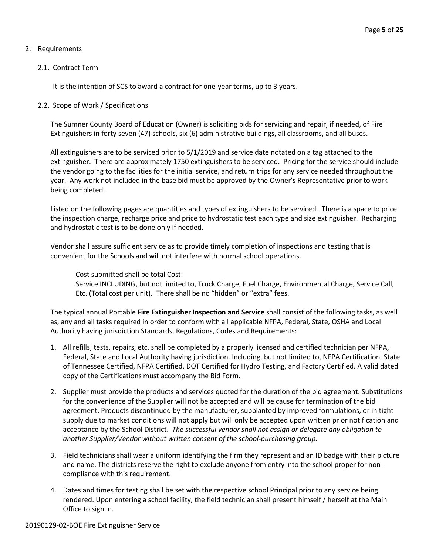#### 2. Requirements

#### 2.1. Contract Term

It is the intention of SCS to award a contract for one-year terms, up to 3 years.

#### 2.2. Scope of Work / Specifications

The Sumner County Board of Education (Owner) is soliciting bids for servicing and repair, if needed, of Fire Extinguishers in forty seven (47) schools, six (6) administrative buildings, all classrooms, and all buses.

All extinguishers are to be serviced prior to 5/1/2019 and service date notated on a tag attached to the extinguisher. There are approximately 1750 extinguishers to be serviced. Pricing for the service should include the vendor going to the facilities for the initial service, and return trips for any service needed throughout the year. Any work not included in the base bid must be approved by the Owner's Representative prior to work being completed.

Listed on the following pages are quantities and types of extinguishers to be serviced. There is a space to price the inspection charge, recharge price and price to hydrostatic test each type and size extinguisher. Recharging and hydrostatic test is to be done only if needed.

Vendor shall assure sufficient service as to provide timely completion of inspections and testing that is convenient for the Schools and will not interfere with normal school operations.

Cost submitted shall be total Cost:

Service INCLUDING, but not limited to, Truck Charge, Fuel Charge, Environmental Charge, Service Call, Etc. (Total cost per unit). There shall be no "hidden" or "extra" fees.

The typical annual Portable **Fire Extinguisher Inspection and Service** shall consist of the following tasks, as well as, any and all tasks required in order to conform with all applicable NFPA, Federal, State, OSHA and Local Authority having jurisdiction Standards, Regulations, Codes and Requirements:

- 1. All refills, tests, repairs, etc. shall be completed by a properly licensed and certified technician per NFPA, Federal, State and Local Authority having jurisdiction. Including, but not limited to, NFPA Certification, State of Tennessee Certified, NFPA Certified, DOT Certified for Hydro Testing, and Factory Certified. A valid dated copy of the Certifications must accompany the Bid Form.
- 2. Supplier must provide the products and services quoted for the duration of the bid agreement. Substitutions for the convenience of the Supplier will not be accepted and will be cause for termination of the bid agreement. Products discontinued by the manufacturer, supplanted by improved formulations, or in tight supply due to market conditions will not apply but will only be accepted upon written prior notification and acceptance by the School District. *The successful vendor shall not assign or delegate any obligation to another Supplier/Vendor without written consent of the school-purchasing group.*
- 3. Field technicians shall wear a uniform identifying the firm they represent and an ID badge with their picture and name. The districts reserve the right to exclude anyone from entry into the school proper for noncompliance with this requirement.
- 4. Dates and times for testing shall be set with the respective school Principal prior to any service being rendered. Upon entering a school facility, the field technician shall present himself / herself at the Main Office to sign in.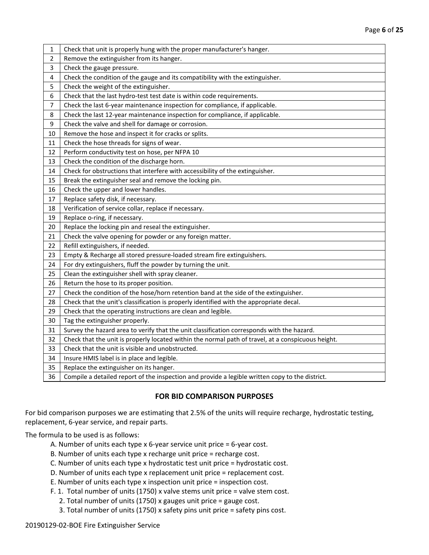| 1  | Check that unit is properly hung with the proper manufacturer's hanger.                            |
|----|----------------------------------------------------------------------------------------------------|
| 2  | Remove the extinguisher from its hanger.                                                           |
| 3  | Check the gauge pressure.                                                                          |
| 4  | Check the condition of the gauge and its compatibility with the extinguisher.                      |
| 5  | Check the weight of the extinguisher.                                                              |
| 6  | Check that the last hydro-test test date is within code requirements.                              |
| 7  | Check the last 6-year maintenance inspection for compliance, if applicable.                        |
| 8  | Check the last 12-year maintenance inspection for compliance, if applicable.                       |
| 9  | Check the valve and shell for damage or corrosion.                                                 |
| 10 | Remove the hose and inspect it for cracks or splits.                                               |
| 11 | Check the hose threads for signs of wear.                                                          |
| 12 | Perform conductivity test on hose, per NFPA 10                                                     |
| 13 | Check the condition of the discharge horn.                                                         |
| 14 | Check for obstructions that interfere with accessibility of the extinguisher.                      |
| 15 | Break the extinguisher seal and remove the locking pin.                                            |
| 16 | Check the upper and lower handles.                                                                 |
| 17 | Replace safety disk, if necessary.                                                                 |
| 18 | Verification of service collar, replace if necessary.                                              |
| 19 | Replace o-ring, if necessary.                                                                      |
| 20 | Replace the locking pin and reseal the extinguisher.                                               |
| 21 | Check the valve opening for powder or any foreign matter.                                          |
| 22 | Refill extinguishers, if needed.                                                                   |
| 23 | Empty & Recharge all stored pressure-loaded stream fire extinguishers.                             |
| 24 | For dry extinguishers, fluff the powder by turning the unit.                                       |
| 25 | Clean the extinguisher shell with spray cleaner.                                                   |
| 26 | Return the hose to its proper position.                                                            |
| 27 | Check the condition of the hose/horn retention band at the side of the extinguisher.               |
| 28 | Check that the unit's classification is properly identified with the appropriate decal.            |
| 29 | Check that the operating instructions are clean and legible.                                       |
| 30 | Tag the extinguisher properly.                                                                     |
| 31 | Survey the hazard area to verify that the unit classification corresponds with the hazard.         |
| 32 | Check that the unit is properly located within the normal path of travel, at a conspicuous height. |
| 33 | Check that the unit is visible and unobstructed.                                                   |
| 34 | Insure HMIS label is in place and legible.                                                         |
| 35 | Replace the extinguisher on its hanger.                                                            |
| 36 | Compile a detailed report of the inspection and provide a legible written copy to the district.    |

### **FOR BID COMPARISON PURPOSES**

For bid comparison purposes we are estimating that 2.5% of the units will require recharge, hydrostatic testing, replacement, 6-year service, and repair parts.

The formula to be used is as follows:

- A. Number of units each type x 6-year service unit price = 6-year cost.
- B. Number of units each type x recharge unit price = recharge cost.
- C. Number of units each type x hydrostatic test unit price = hydrostatic cost.
- D. Number of units each type x replacement unit price = replacement cost.
- E. Number of units each type x inspection unit price = inspection cost.
- F. 1. Total number of units (1750) x valve stems unit price = valve stem cost.
	- 2. Total number of units (1750) x gauges unit price = gauge cost.
	- 3. Total number of units (1750) x safety pins unit price = safety pins cost.

#### 20190129-02-BOE Fire Extinguisher Service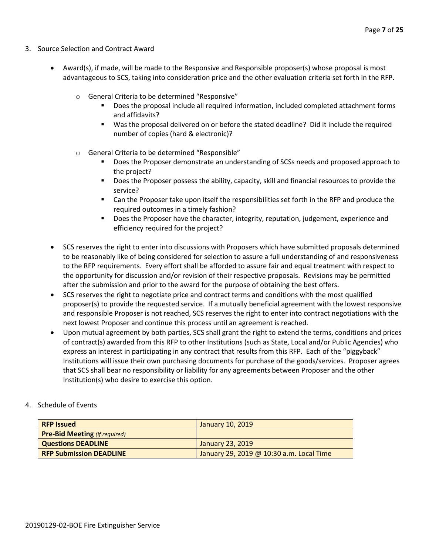- 3. Source Selection and Contract Award
	- Award(s), if made, will be made to the Responsive and Responsible proposer(s) whose proposal is most advantageous to SCS, taking into consideration price and the other evaluation criteria set forth in the RFP.
		- o General Criteria to be determined "Responsive"
			- Does the proposal include all required information, included completed attachment forms and affidavits?
			- Was the proposal delivered on or before the stated deadline? Did it include the required number of copies (hard & electronic)?
		- o General Criteria to be determined "Responsible"
			- Does the Proposer demonstrate an understanding of SCSs needs and proposed approach to the project?
			- **Does the Proposer possess the ability, capacity, skill and financial resources to provide the** service?
			- Can the Proposer take upon itself the responsibilities set forth in the RFP and produce the required outcomes in a timely fashion?
			- **Does the Proposer have the character, integrity, reputation, judgement, experience and** efficiency required for the project?
	- SCS reserves the right to enter into discussions with Proposers which have submitted proposals determined to be reasonably like of being considered for selection to assure a full understanding of and responsiveness to the RFP requirements. Every effort shall be afforded to assure fair and equal treatment with respect to the opportunity for discussion and/or revision of their respective proposals. Revisions may be permitted after the submission and prior to the award for the purpose of obtaining the best offers.
	- SCS reserves the right to negotiate price and contract terms and conditions with the most qualified proposer(s) to provide the requested service. If a mutually beneficial agreement with the lowest responsive and responsible Proposer is not reached, SCS reserves the right to enter into contract negotiations with the next lowest Proposer and continue this process until an agreement is reached.
	- Upon mutual agreement by both parties, SCS shall grant the right to extend the terms, conditions and prices of contract(s) awarded from this RFP to other Institutions (such as State, Local and/or Public Agencies) who express an interest in participating in any contract that results from this RFP. Each of the "piggyback" Institutions will issue their own purchasing documents for purchase of the goods/services. Proposer agrees that SCS shall bear no responsibility or liability for any agreements between Proposer and the other Institution(s) who desire to exercise this option.

#### 4. Schedule of Events

| <b>RFP Issued</b>                    | January 10, 2019                         |
|--------------------------------------|------------------------------------------|
| <b>Pre-Bid Meeting (if required)</b> |                                          |
| <b>Questions DEADLINE</b>            | January 23, 2019                         |
| <b>RFP Submission DEADLINE</b>       | January 29, 2019 @ 10:30 a.m. Local Time |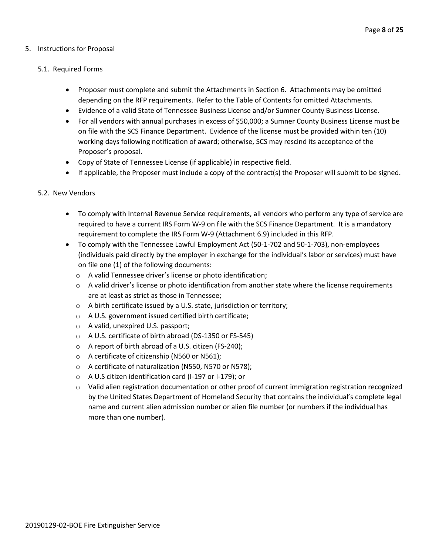#### 5. Instructions for Proposal

#### 5.1. Required Forms

- Proposer must complete and submit the Attachments in Section 6. Attachments may be omitted depending on the RFP requirements. Refer to the Table of Contents for omitted Attachments.
- Evidence of a valid State of Tennessee Business License and/or Sumner County Business License.
- For all vendors with annual purchases in excess of \$50,000; a Sumner County Business License must be on file with the SCS Finance Department. Evidence of the license must be provided within ten (10) working days following notification of award; otherwise, SCS may rescind its acceptance of the Proposer's proposal.
- Copy of State of Tennessee License (if applicable) in respective field.
- If applicable, the Proposer must include a copy of the contract(s) the Proposer will submit to be signed.

#### 5.2. New Vendors

- To comply with Internal Revenue Service requirements, all vendors who perform any type of service are required to have a current IRS Form W-9 on file with the SCS Finance Department. It is a mandatory requirement to complete the IRS Form W-9 (Attachment 6.9) included in this RFP.
- To comply with the Tennessee Lawful Employment Act (50-1-702 and 50-1-703), non-employees (individuals paid directly by the employer in exchange for the individual's labor or services) must have on file one (1) of the following documents:
	- o A valid Tennessee driver's license or photo identification;
	- $\circ$  A valid driver's license or photo identification from another state where the license requirements are at least as strict as those in Tennessee;
	- o A birth certificate issued by a U.S. state, jurisdiction or territory;
	- o A U.S. government issued certified birth certificate;
	- o A valid, unexpired U.S. passport;
	- o A U.S. certificate of birth abroad (DS-1350 or FS-545)
	- o A report of birth abroad of a U.S. citizen (FS-240);
	- o A certificate of citizenship (N560 or N561);
	- o A certificate of naturalization (N550, N570 or N578);
	- o A U.S citizen identification card (I-197 or I-179); or
	- $\circ$  Valid alien registration documentation or other proof of current immigration registration recognized by the United States Department of Homeland Security that contains the individual's complete legal name and current alien admission number or alien file number (or numbers if the individual has more than one number).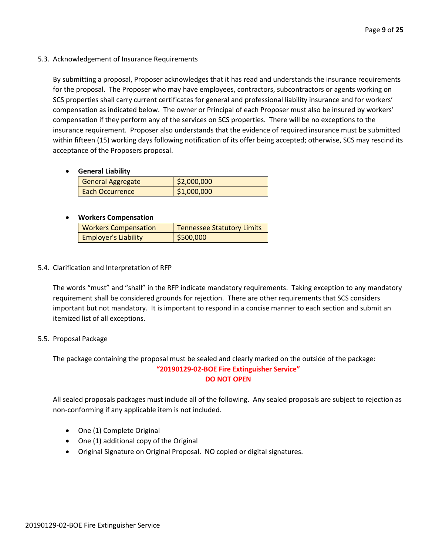5.3. Acknowledgement of Insurance Requirements

By submitting a proposal, Proposer acknowledges that it has read and understands the insurance requirements for the proposal. The Proposer who may have employees, contractors, subcontractors or agents working on SCS properties shall carry current certificates for general and professional liability insurance and for workers' compensation as indicated below. The owner or Principal of each Proposer must also be insured by workers' compensation if they perform any of the services on SCS properties. There will be no exceptions to the insurance requirement. Proposer also understands that the evidence of required insurance must be submitted within fifteen (15) working days following notification of its offer being accepted; otherwise, SCS may rescind its acceptance of the Proposers proposal.

• **General Liability**

| General Aggregate | \$2,000,000 |
|-------------------|-------------|
| Each Occurrence   | \$1,000,000 |

#### • **Workers Compensation**

| <b>Workers Compensation</b> | Tennessee Statutory Limits |  |  |  |  |
|-----------------------------|----------------------------|--|--|--|--|
| <b>Employer's Liability</b> | \$500,000                  |  |  |  |  |

5.4. Clarification and Interpretation of RFP

The words "must" and "shall" in the RFP indicate mandatory requirements. Taking exception to any mandatory requirement shall be considered grounds for rejection. There are other requirements that SCS considers important but not mandatory. It is important to respond in a concise manner to each section and submit an itemized list of all exceptions.

#### 5.5. Proposal Package

The package containing the proposal must be sealed and clearly marked on the outside of the package: **"20190129-02-BOE Fire Extinguisher Service" DO NOT OPEN**

All sealed proposals packages must include all of the following. Any sealed proposals are subject to rejection as non-conforming if any applicable item is not included.

- One (1) Complete Original
- One (1) additional copy of the Original
- Original Signature on Original Proposal. NO copied or digital signatures.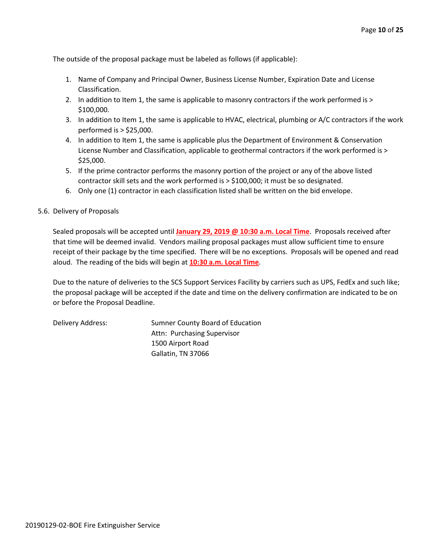The outside of the proposal package must be labeled as follows (if applicable):

- 1. Name of Company and Principal Owner, Business License Number, Expiration Date and License Classification.
- 2. In addition to Item 1, the same is applicable to masonry contractors if the work performed is > \$100,000.
- 3. In addition to Item 1, the same is applicable to HVAC, electrical, plumbing or A/C contractors if the work performed is > \$25,000.
- 4. In addition to Item 1, the same is applicable plus the Department of Environment & Conservation License Number and Classification, applicable to geothermal contractors if the work performed is > \$25,000.
- 5. If the prime contractor performs the masonry portion of the project or any of the above listed contractor skill sets and the work performed is > \$100,000; it must be so designated.
- 6. Only one (1) contractor in each classification listed shall be written on the bid envelope.

#### 5.6. Delivery of Proposals

Sealed proposals will be accepted until **January 29, 2019 @ 10:30 a.m. Local Time**. Proposals received after that time will be deemed invalid. Vendors mailing proposal packages must allow sufficient time to ensure receipt of their package by the time specified. There will be no exceptions. Proposals will be opened and read aloud. The reading of the bids will begin at **10:30 a.m. Local Time**.

Due to the nature of deliveries to the SCS Support Services Facility by carriers such as UPS, FedEx and such like; the proposal package will be accepted if the date and time on the delivery confirmation are indicated to be on or before the Proposal Deadline.

Delivery Address: Sumner County Board of Education Attn: Purchasing Supervisor 1500 Airport Road Gallatin, TN 37066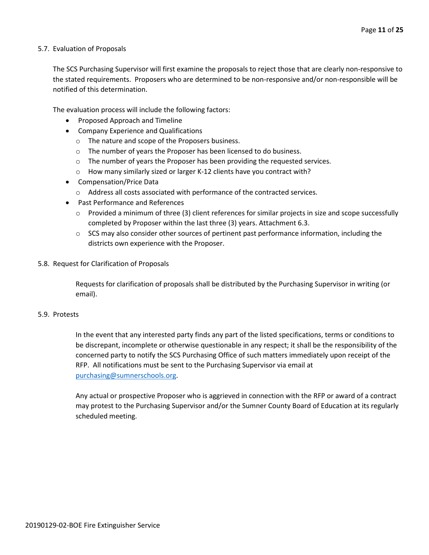#### 5.7. Evaluation of Proposals

The SCS Purchasing Supervisor will first examine the proposals to reject those that are clearly non-responsive to the stated requirements. Proposers who are determined to be non-responsive and/or non-responsible will be notified of this determination.

The evaluation process will include the following factors:

- Proposed Approach and Timeline
- Company Experience and Qualifications
	- o The nature and scope of the Proposers business.
	- o The number of years the Proposer has been licensed to do business.
	- o The number of years the Proposer has been providing the requested services.
	- o How many similarly sized or larger K-12 clients have you contract with?
- Compensation/Price Data
	- o Address all costs associated with performance of the contracted services.
- Past Performance and References
	- $\circ$  Provided a minimum of three (3) client references for similar projects in size and scope successfully completed by Proposer within the last three (3) years. Attachment 6.3.
	- $\circ$  SCS may also consider other sources of pertinent past performance information, including the districts own experience with the Proposer.
- 5.8. Request for Clarification of Proposals

Requests for clarification of proposals shall be distributed by the Purchasing Supervisor in writing (or email).

#### 5.9. Protests

In the event that any interested party finds any part of the listed specifications, terms or conditions to be discrepant, incomplete or otherwise questionable in any respect; it shall be the responsibility of the concerned party to notify the SCS Purchasing Office of such matters immediately upon receipt of the RFP. All notifications must be sent to the Purchasing Supervisor via email at [purchasing@sumnerschools.org.](mailto:purchasing@sumnerschools.org)

Any actual or prospective Proposer who is aggrieved in connection with the RFP or award of a contract may protest to the Purchasing Supervisor and/or the Sumner County Board of Education at its regularly scheduled meeting.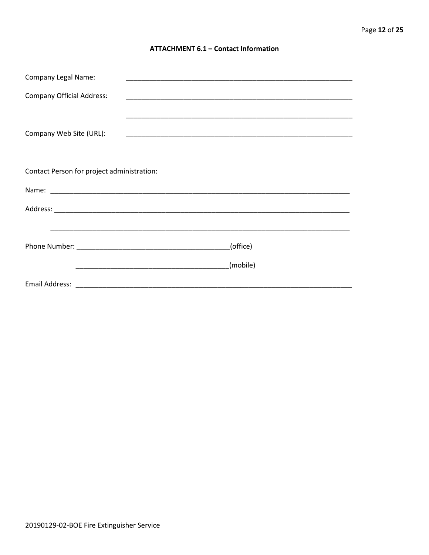#### **ATTACHMENT 6.1 - Contact Information**

| <b>Company Legal Name:</b>                 |          |
|--------------------------------------------|----------|
| <b>Company Official Address:</b>           |          |
|                                            |          |
| Company Web Site (URL):                    |          |
|                                            |          |
| Contact Person for project administration: |          |
|                                            |          |
|                                            |          |
|                                            |          |
|                                            | (office) |
|                                            | (mobile) |
|                                            |          |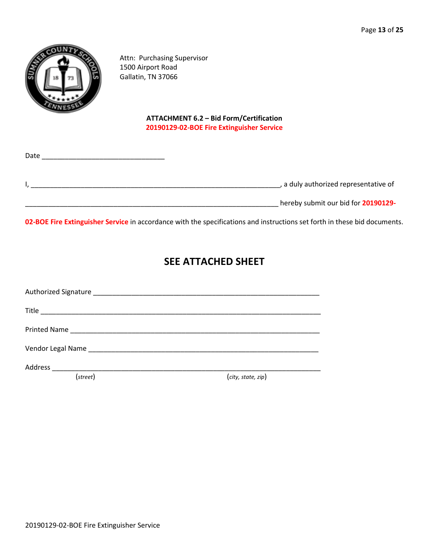

Attn: Purchasing Supervisor 1500 Airport Road Gallatin, TN 37066

### **ATTACHMENT 6.2 – Bid Form/Certification 20190129-02-BOE Fire Extinguisher Service**

| Date |                                     |
|------|-------------------------------------|
|      | a duly authorized representative of |
|      | hereby submit our bid for 20190129- |

**02-BOE Fire Extinguisher Service** in accordance with the specifications and instructions set forth in these bid documents.

# **SEE ATTACHED SHEET**

| (street) | (city, state, zip) |  |
|----------|--------------------|--|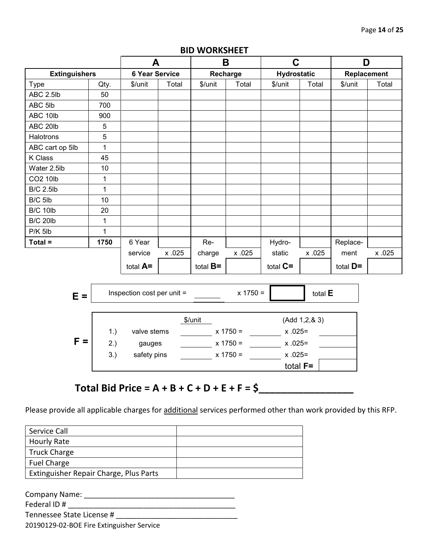|                      |              | A                            |        | B                   |                                               | $\mathbf C$        |        | D           |        |
|----------------------|--------------|------------------------------|--------|---------------------|-----------------------------------------------|--------------------|--------|-------------|--------|
| <b>Extinguishers</b> |              | <b>6 Year Service</b>        |        | Recharge            |                                               | <b>Hydrostatic</b> |        | Replacement |        |
| Type                 | Qty.         | \$/unit                      | Total  | \$/unit             | Total                                         | \$/unit            | Total  | \$/unit     | Total  |
| ABC 2.5lb            | 50           |                              |        |                     |                                               |                    |        |             |        |
| ABC 5lb              | 700          |                              |        |                     |                                               |                    |        |             |        |
| ABC 10lb             | 900          |                              |        |                     |                                               |                    |        |             |        |
| ABC 20lb             | 5            |                              |        |                     |                                               |                    |        |             |        |
| Halotrons            | 5            |                              |        |                     |                                               |                    |        |             |        |
| ABC cart op 5lb      | $\mathbf{1}$ |                              |        |                     |                                               |                    |        |             |        |
| K Class              | 45           |                              |        |                     |                                               |                    |        |             |        |
| Water 2.5lb          | 10           |                              |        |                     |                                               |                    |        |             |        |
| CO2 10lb             | $\mathbf{1}$ |                              |        |                     |                                               |                    |        |             |        |
| <b>B/C 2.5lb</b>     | $\mathbf{1}$ |                              |        |                     |                                               |                    |        |             |        |
| B/C 5lb              | 10           |                              |        |                     |                                               |                    |        |             |        |
| <b>B/C 10lb</b>      | 20           |                              |        |                     |                                               |                    |        |             |        |
| <b>B/C 20lb</b>      | $\mathbf{1}$ |                              |        |                     |                                               |                    |        |             |        |
| $P/K$ 5lb            | $\mathbf{1}$ |                              |        |                     |                                               |                    |        |             |        |
| $Total =$            | 1750         | 6 Year                       |        | Re-                 |                                               | Hydro-             |        | Replace-    |        |
|                      |              | service                      | x .025 | charge              | x .025                                        | static             | x .025 | ment        | x .025 |
|                      |              | total A=                     |        | total $B=$          |                                               | total $C =$        |        | total $D =$ |        |
|                      |              |                              |        |                     |                                               |                    |        |             |        |
| $E =$                |              | Inspection cost per unit $=$ |        | $x 1750 =$          |                                               | total E            |        |             |        |
|                      |              |                              |        | \$/unit             |                                               | (Add 1, 2, 8, 3)   |        |             |        |
|                      | 1.)          | valve stems                  |        |                     |                                               |                    |        |             |        |
| $F =$                | 2.)          | gauges                       |        |                     | $x 1750 =$ x 1750 = x .025=<br>$x 1750 = 255$ |                    |        |             |        |
| 3.)<br>safety pins   |              |                              |        |                     |                                               |                    |        |             |        |
|                      |              |                              |        | $x 1750 = x .025 =$ |                                               | total $F=$         |        |             |        |
|                      |              |                              |        |                     |                                               |                    |        |             |        |

### **BID WORKSHEET**

# **Total Bid Price = A + B + C + D + E + F = \$\_\_\_\_\_\_\_\_\_\_\_\_\_\_\_\_\_**

Please provide all applicable charges for additional services performed other than work provided by this RFP.

| Service Call                           |  |
|----------------------------------------|--|
| <b>Hourly Rate</b>                     |  |
| <b>Truck Charge</b>                    |  |
| <b>Fuel Charge</b>                     |  |
| Extinguisher Repair Charge, Plus Parts |  |

Company Name: \_\_\_\_\_\_\_\_\_\_\_\_\_\_\_\_\_\_\_\_\_\_\_\_\_\_\_\_\_\_\_\_\_\_\_\_ Federal ID # \_\_\_\_\_\_\_\_\_\_\_\_\_\_\_\_\_\_\_\_\_\_\_\_\_\_\_\_\_\_\_\_\_\_\_\_\_\_\_\_ Tennessee State License # \_\_\_\_\_\_\_\_\_\_\_\_\_\_\_\_\_\_\_\_\_\_\_\_\_\_\_\_\_

20190129-02-BOE Fire Extinguisher Service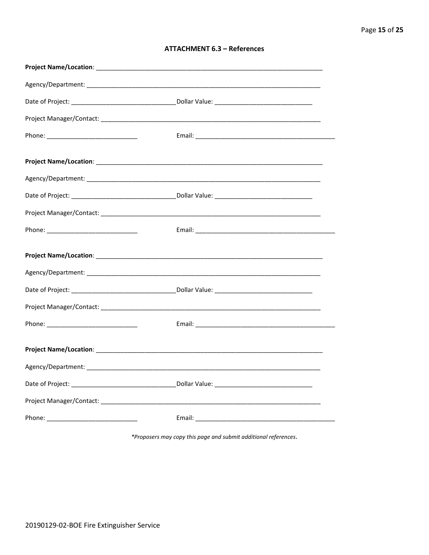|  | <b>ATTACHMENT 6.3 - References</b> |
|--|------------------------------------|
|--|------------------------------------|

\*Proposers may copy this page and submit additional references.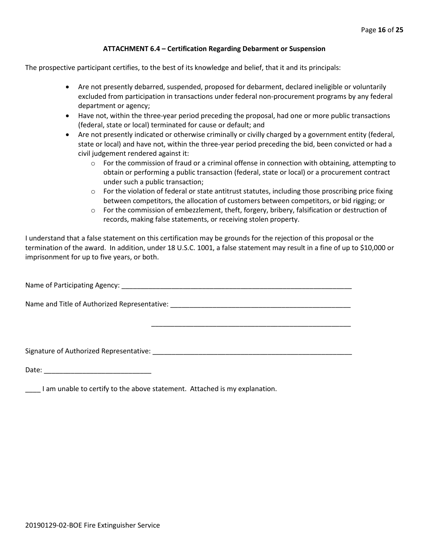#### **ATTACHMENT 6.4 – Certification Regarding Debarment or Suspension**

The prospective participant certifies, to the best of its knowledge and belief, that it and its principals:

- Are not presently debarred, suspended, proposed for debarment, declared ineligible or voluntarily excluded from participation in transactions under federal non-procurement programs by any federal department or agency;
- Have not, within the three-year period preceding the proposal, had one or more public transactions (federal, state or local) terminated for cause or default; and
- Are not presently indicated or otherwise criminally or civilly charged by a government entity (federal, state or local) and have not, within the three-year period preceding the bid, been convicted or had a civil judgement rendered against it:
	- $\circ$  For the commission of fraud or a criminal offense in connection with obtaining, attempting to obtain or performing a public transaction (federal, state or local) or a procurement contract under such a public transaction;
	- $\circ$  For the violation of federal or state antitrust statutes, including those proscribing price fixing between competitors, the allocation of customers between competitors, or bid rigging; or
	- o For the commission of embezzlement, theft, forgery, bribery, falsification or destruction of records, making false statements, or receiving stolen property.

\_\_\_\_\_\_\_\_\_\_\_\_\_\_\_\_\_\_\_\_\_\_\_\_\_\_\_\_\_\_\_\_\_\_\_\_\_\_\_\_\_\_\_\_\_\_\_\_\_\_\_\_

I understand that a false statement on this certification may be grounds for the rejection of this proposal or the termination of the award. In addition, under 18 U.S.C. 1001, a false statement may result in a fine of up to \$10,000 or imprisonment for up to five years, or both.

Name of Participating Agency: \_\_\_\_\_\_\_\_\_\_\_\_\_\_\_\_\_\_\_\_\_\_\_\_\_\_\_\_\_\_\_\_\_\_\_\_\_\_\_\_\_\_\_\_\_\_\_\_\_\_\_\_\_\_\_\_\_\_\_\_

Name and Title of Authorized Representative: \_\_\_\_\_\_\_\_\_\_\_\_\_\_\_\_\_\_\_\_\_\_\_\_\_\_\_\_\_\_\_\_\_\_\_\_\_\_\_\_\_\_\_\_\_\_\_

Signature of Authorized Representative: \_\_\_\_\_\_\_\_\_\_\_\_\_\_\_\_\_\_\_\_\_\_\_\_\_\_\_\_\_\_\_\_\_\_\_\_\_\_\_\_\_\_\_\_\_\_\_\_\_\_\_\_

Date: \_\_\_\_\_\_\_\_\_\_\_\_\_\_\_\_\_\_\_\_\_\_\_\_\_\_\_\_

\_\_\_\_ I am unable to certify to the above statement. Attached is my explanation.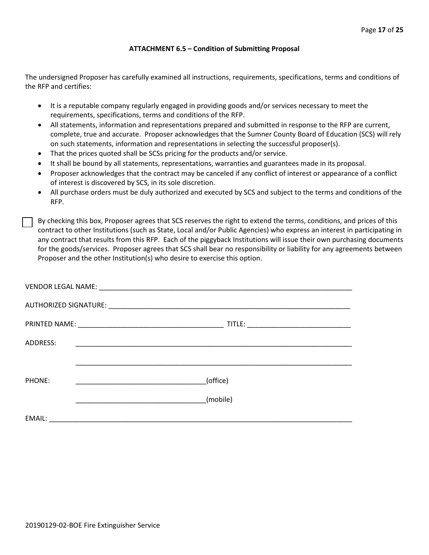#### **ATTACHMENT 6.5 – Condition of Submitting Proposal**

The undersigned Proposer has carefully examined all instructions, requirements, specifications, terms and conditions of the RFP and certifies:

- It is a reputable company regularly engaged in providing goods and/or services necessary to meet the requirements, specifications, terms and conditions of the RFP.
- All statements, information and representations prepared and submitted in response to the RFP are current, complete, true and accurate. Proposer acknowledges that the Sumner County Board of Education (SCS) will rely on such statements, information and representations in selecting the successful proposer(s).
- That the prices quoted shall be SCSs pricing for the products and/or service.
- It shall be bound by all statements, representations, warranties and guarantees made in its proposal.
- Proposer acknowledges that the contract may be canceled if any conflict of interest or appearance of a conflict of interest is discovered by SCS, in its sole discretion.
- All purchase orders must be duly authorized and executed by SCS and subject to the terms and conditions of the RFP.

By checking this box, Proposer agrees that SCS reserves the right to extend the terms, conditions, and prices of this contract to other Institutions (such as State, Local and/or Public Agencies) who express an interest in participating in any contract that results from this RFP. Each of the piggyback Institutions will issue their own purchasing documents for the goods/services. Proposer agrees that SCS shall bear no responsibility or liability for any agreements between Proposer and the other Institution(s) who desire to exercise this option.

| ADDRESS: | <u> 1989 - Johann John Stone, markin film yn y system yn y system yn y system yn y system yn y system yn y system</u> |
|----------|-----------------------------------------------------------------------------------------------------------------------|
|          |                                                                                                                       |
| PHONE:   | (office)                                                                                                              |
|          | (mobile)                                                                                                              |
| EMAIL:   | <u> 2000 - Jan Barnett, amerikan bestein den bestehende aus dem Barnett der Besteht und der Barnett der Barnett u</u> |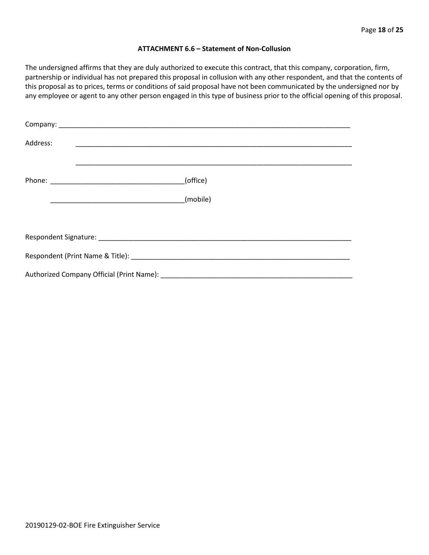#### **ATTACHMENT 6.6 – Statement of Non-Collusion**

The undersigned affirms that they are duly authorized to execute this contract, that this company, corporation, firm, partnership or individual has not prepared this proposal in collusion with any other respondent, and that the contents of this proposal as to prices, terms or conditions of said proposal have not been communicated by the undersigned nor by any employee or agent to any other person engaged in this type of business prior to the official opening of this proposal.

| Address: |          |  |  |  |  |
|----------|----------|--|--|--|--|
|          | (office) |  |  |  |  |
|          | (mobile) |  |  |  |  |
|          |          |  |  |  |  |
|          |          |  |  |  |  |
|          |          |  |  |  |  |
|          |          |  |  |  |  |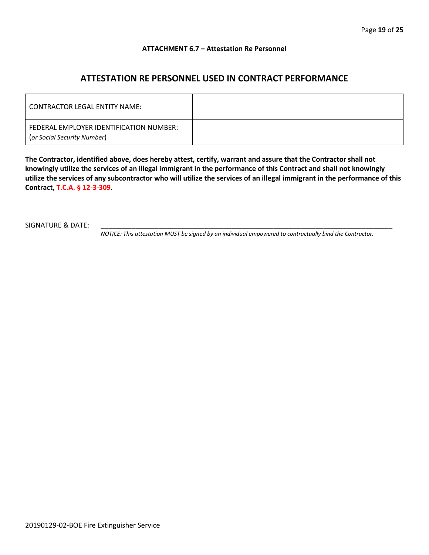#### **ATTACHMENT 6.7 – Attestation Re Personnel**

## **ATTESTATION RE PERSONNEL USED IN CONTRACT PERFORMANCE**

| CONTRACTOR LEGAL ENTITY NAME:                                          |  |
|------------------------------------------------------------------------|--|
| FEDERAL EMPLOYER IDENTIFICATION NUMBER:<br>(or Social Security Number) |  |

**The Contractor, identified above, does hereby attest, certify, warrant and assure that the Contractor shall not knowingly utilize the services of an illegal immigrant in the performance of this Contract and shall not knowingly utilize the services of any subcontractor who will utilize the services of an illegal immigrant in the performance of this Contract, T.C.A. § 12-3-309.**

SIGNATURE & DATE:

*NOTICE: This attestation MUST be signed by an individual empowered to contractually bind the Contractor.*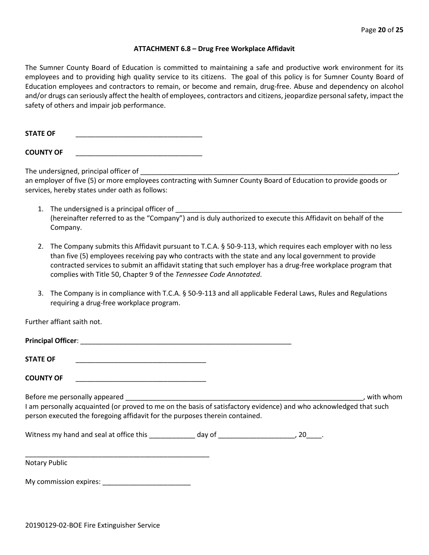#### **ATTACHMENT 6.8 – Drug Free Workplace Affidavit**

The Sumner County Board of Education is committed to maintaining a safe and productive work environment for its employees and to providing high quality service to its citizens. The goal of this policy is for Sumner County Board of Education employees and contractors to remain, or become and remain, drug-free. Abuse and dependency on alcohol and/or drugs can seriously affect the health of employees, contractors and citizens, jeopardize personal safety, impact the safety of others and impair job performance.

**STATE OF** \_\_\_\_\_\_\_\_\_\_\_\_\_\_\_\_\_\_\_\_\_\_\_\_\_\_\_\_\_\_\_\_\_

**COUNTY OF** \_\_\_\_\_\_\_\_\_\_\_\_\_\_\_\_\_\_\_\_\_\_\_\_\_\_\_\_\_\_\_\_\_

The undersigned, principal officer of

an employer of five (5) or more employees contracting with Sumner County Board of Education to provide goods or services, hereby states under oath as follows:

- 1. The undersigned is a principal officer of (hereinafter referred to as the "Company") and is duly authorized to execute this Affidavit on behalf of the Company.
- 2. The Company submits this Affidavit pursuant to T.C.A. § 50-9-113, which requires each employer with no less than five (5) employees receiving pay who contracts with the state and any local government to provide contracted services to submit an affidavit stating that such employer has a drug-free workplace program that complies with Title 50, Chapter 9 of the *Tennessee Code Annotated*.
- 3. The Company is in compliance with T.C.A. § 50-9-113 and all applicable Federal Laws, Rules and Regulations requiring a drug-free workplace program.

Further affiant saith not.

| <b>STATE OF</b>                                                                                                                                                                                  |  |           |
|--------------------------------------------------------------------------------------------------------------------------------------------------------------------------------------------------|--|-----------|
| <b>COUNTY OF</b>                                                                                                                                                                                 |  |           |
| I am personally acquainted (or proved to me on the basis of satisfactory evidence) and who acknowledged that such<br>person executed the foregoing affidavit for the purposes therein contained. |  | with whom |
|                                                                                                                                                                                                  |  |           |
| <b>Notary Public</b>                                                                                                                                                                             |  |           |

My commission expires: \_\_\_\_\_\_\_\_\_\_\_\_\_\_\_\_\_\_\_\_\_\_\_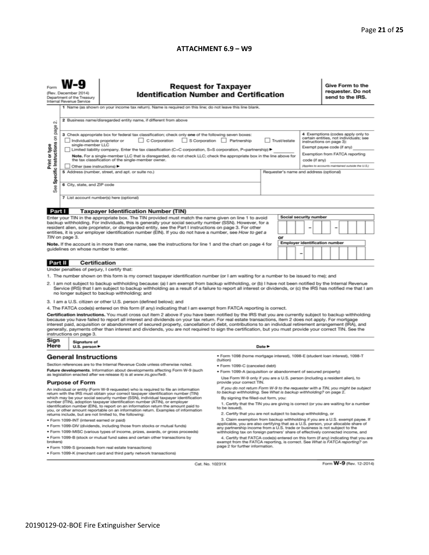#### **ATTACHMENT 6.9 – W9**

|                                                                                                                                                                                                                                                                                                                                                                                                                                                                                                                                                                                                                                                                                                                                                                                                                                                                                                                                                                                                                                                                                                                                                                                                                                                                                                                                                                | (Rev. December 2014)<br>Department of the Treasury<br>Internal Revenue Service | <b>Request for Taxpayer</b><br><b>Identification Number and Certification</b><br>1 Name (as shown on your income tax return). Name is required on this line; do not leave this line blank.<br>2 Business name/disregarded entity name, if different from above                                                                                                                                                                                                                                                                                                                                                                                                                                                                                                                                                                                                                                                                                                                                                                                                                                                   |                                                                              |                            |  |  |  |  | Give Form to the<br>requester. Do not<br>send to the IRS. |  |  |  |  |
|----------------------------------------------------------------------------------------------------------------------------------------------------------------------------------------------------------------------------------------------------------------------------------------------------------------------------------------------------------------------------------------------------------------------------------------------------------------------------------------------------------------------------------------------------------------------------------------------------------------------------------------------------------------------------------------------------------------------------------------------------------------------------------------------------------------------------------------------------------------------------------------------------------------------------------------------------------------------------------------------------------------------------------------------------------------------------------------------------------------------------------------------------------------------------------------------------------------------------------------------------------------------------------------------------------------------------------------------------------------|--------------------------------------------------------------------------------|------------------------------------------------------------------------------------------------------------------------------------------------------------------------------------------------------------------------------------------------------------------------------------------------------------------------------------------------------------------------------------------------------------------------------------------------------------------------------------------------------------------------------------------------------------------------------------------------------------------------------------------------------------------------------------------------------------------------------------------------------------------------------------------------------------------------------------------------------------------------------------------------------------------------------------------------------------------------------------------------------------------------------------------------------------------------------------------------------------------|------------------------------------------------------------------------------|----------------------------|--|--|--|--|-----------------------------------------------------------|--|--|--|--|
| N<br>Specific Instructions on page<br>4 Exemptions (codes apply only to<br>3 Check appropriate box for federal tax classification; check only one of the following seven boxes:<br>certain entities, not individuals; see<br>C Corporation<br>S Corporation Partnership<br>Trust/estate<br>Individual/sole proprietor or<br>instructions on page 3):<br>single-member LLC<br>Print or type<br>Exempt payee code (if any)<br>Limited liability company. Enter the tax classification (C=C corporation, S=S corporation, P=partnership) ▶<br>Exemption from FATCA reporting<br>Note. For a single-member LLC that is disregarded, do not check LLC; check the appropriate box in the line above for<br>the tax classification of the single-member owner.<br>code (if any)<br>(Applies to accounts maintained outside the U.S.)<br>Other (see instructions) ▶<br>5 Address (number, street, and apt. or suite no.)<br>Requester's name and address (optional)<br>6 City, state, and ZIP code<br>See<br>7 List account number(s) here (optional)                                                                                                                                                                                                                                                                                                                  |                                                                                |                                                                                                                                                                                                                                                                                                                                                                                                                                                                                                                                                                                                                                                                                                                                                                                                                                                                                                                                                                                                                                                                                                                  |                                                                              |                            |  |  |  |  |                                                           |  |  |  |  |
|                                                                                                                                                                                                                                                                                                                                                                                                                                                                                                                                                                                                                                                                                                                                                                                                                                                                                                                                                                                                                                                                                                                                                                                                                                                                                                                                                                |                                                                                |                                                                                                                                                                                                                                                                                                                                                                                                                                                                                                                                                                                                                                                                                                                                                                                                                                                                                                                                                                                                                                                                                                                  |                                                                              |                            |  |  |  |  |                                                           |  |  |  |  |
| Part I<br><b>Taxpayer Identification Number (TIN)</b><br>Social security number<br>Enter your TIN in the appropriate box. The TIN provided must match the name given on line 1 to avoid<br>backup withholding. For individuals, this is generally your social security number (SSN). However, for a<br>resident alien, sole proprietor, or disregarded entity, see the Part I instructions on page 3. For other<br>-<br>entities, it is your employer identification number (EIN). If you do not have a number, see How to get a<br>TIN on page 3.<br>or<br><b>Employer identification number</b><br>Note. If the account is in more than one name, see the instructions for line 1 and the chart on page 4 for<br>guidelines on whose number to enter.<br>-                                                                                                                                                                                                                                                                                                                                                                                                                                                                                                                                                                                                   |                                                                                |                                                                                                                                                                                                                                                                                                                                                                                                                                                                                                                                                                                                                                                                                                                                                                                                                                                                                                                                                                                                                                                                                                                  |                                                                              |                            |  |  |  |  |                                                           |  |  |  |  |
|                                                                                                                                                                                                                                                                                                                                                                                                                                                                                                                                                                                                                                                                                                                                                                                                                                                                                                                                                                                                                                                                                                                                                                                                                                                                                                                                                                | <b>Certification</b>                                                           |                                                                                                                                                                                                                                                                                                                                                                                                                                                                                                                                                                                                                                                                                                                                                                                                                                                                                                                                                                                                                                                                                                                  |                                                                              |                            |  |  |  |  |                                                           |  |  |  |  |
| Part II                                                                                                                                                                                                                                                                                                                                                                                                                                                                                                                                                                                                                                                                                                                                                                                                                                                                                                                                                                                                                                                                                                                                                                                                                                                                                                                                                        | Under penalties of perjury, I certify that:                                    |                                                                                                                                                                                                                                                                                                                                                                                                                                                                                                                                                                                                                                                                                                                                                                                                                                                                                                                                                                                                                                                                                                                  |                                                                              |                            |  |  |  |  |                                                           |  |  |  |  |
| 1. The number shown on this form is my correct taxpayer identification number (or I am waiting for a number to be issued to me); and<br>2. I am not subject to backup withholding because: (a) I am exempt from backup withholding, or (b) I have not been notified by the Internal Revenue<br>Service (IRS) that I am subject to backup withholding as a result of a failure to report all interest or dividends, or (c) the IRS has notified me that I am<br>no longer subject to backup withholding; and<br>3. I am a U.S. citizen or other U.S. person (defined below); and<br>4. The FATCA code(s) entered on this form (if any) indicating that I am exempt from FATCA reporting is correct.<br>Certification instructions. You must cross out item 2 above if you have been notified by the IRS that you are currently subject to backup withholding<br>because you have failed to report all interest and dividends on your tax return. For real estate transactions, item 2 does not apply. For mortgage<br>interest paid, acquisition or abandonment of secured property, cancellation of debt, contributions to an individual retirement arrangement (IRA), and<br>generally, payments other than interest and dividends, you are not required to sign the certification, but you must provide your correct TIN. See the<br>instructions on page 3. |                                                                                |                                                                                                                                                                                                                                                                                                                                                                                                                                                                                                                                                                                                                                                                                                                                                                                                                                                                                                                                                                                                                                                                                                                  |                                                                              |                            |  |  |  |  |                                                           |  |  |  |  |
| Sign                                                                                                                                                                                                                                                                                                                                                                                                                                                                                                                                                                                                                                                                                                                                                                                                                                                                                                                                                                                                                                                                                                                                                                                                                                                                                                                                                           | Signature of                                                                   |                                                                                                                                                                                                                                                                                                                                                                                                                                                                                                                                                                                                                                                                                                                                                                                                                                                                                                                                                                                                                                                                                                                  |                                                                              |                            |  |  |  |  |                                                           |  |  |  |  |
| Here                                                                                                                                                                                                                                                                                                                                                                                                                                                                                                                                                                                                                                                                                                                                                                                                                                                                                                                                                                                                                                                                                                                                                                                                                                                                                                                                                           | U.S. person ▶<br><b>General Instructions</b>                                   |                                                                                                                                                                                                                                                                                                                                                                                                                                                                                                                                                                                                                                                                                                                                                                                                                                                                                                                                                                                                                                                                                                                  | · Form 1098 (home mortgage interest), 1098-E (student loan interest), 1098-T | Date $\blacktriangleright$ |  |  |  |  |                                                           |  |  |  |  |
| Section references are to the Internal Revenue Code unless otherwise noted.<br>Future developments. Information about developments affecting Form W-9 (such<br>as legislation enacted after we release it) is at www.irs.gov/fw9.<br><b>Purpose of Form</b><br>An individual or entity (Form W-9 requester) who is required to file an information<br>return with the IRS must obtain your correct taxpayer identification number (TIN)<br>which may be your social security number (SSN), individual taxpayer identification<br>number (ITIN), adoption taxpayer identification number (ATIN), or employer<br>identification number (EIN), to report on an information return the amount paid to<br>you, or other amount reportable on an information return. Examples of information<br>returns include, but are not limited to, the following:<br>· Form 1099-INT (interest earned or paid)<br>. Form 1099-DIV (dividends, including those from stocks or mutual funds)<br>* Form 1099-MISC (various types of income, prizes, awards, or gross proceeds)<br>. Form 1099-B (stock or mutual fund sales and certain other transactions by<br>brokers)                                                                                                                                                                                                         |                                                                                | (tuition)<br>· Form 1099-C (canceled debt)<br>. Form 1099-A (acquisition or abandonment of secured property)<br>Use Form W-9 only if you are a U.S. person (including a resident alien), to<br>provide your correct TIN.<br>If you do not return Form W-9 to the requester with a TIN, you might be subject<br>to backup withholding. See What is backup withholding? on page 2.<br>By signing the filled-out form, you:<br>1. Certify that the TIN you are giving is correct (or you are waiting for a number<br>to be issued).<br>2. Certify that you are not subject to backup withholding, or<br>3. Claim exemption from backup withholding if you are a U.S. exempt payee. If<br>applicable, you are also certifying that as a U.S. person, your allocable share of<br>any partnership income from a U.S. trade or business is not subject to the<br>withholding tax on foreign partners' share of effectively connected income, and<br>4. Certify that FATCA code(s) entered on this form (if any) indicating that you are<br>exempt from the FATCA reporting, is correct. See What is FATCA reporting? on |                                                                              |                            |  |  |  |  |                                                           |  |  |  |  |
|                                                                                                                                                                                                                                                                                                                                                                                                                                                                                                                                                                                                                                                                                                                                                                                                                                                                                                                                                                                                                                                                                                                                                                                                                                                                                                                                                                |                                                                                | · Form 1099-S (proceeds from real estate transactions)<br>. Form 1099-K (merchant card and third party network transactions)                                                                                                                                                                                                                                                                                                                                                                                                                                                                                                                                                                                                                                                                                                                                                                                                                                                                                                                                                                                     | page 2 for further information.                                              |                            |  |  |  |  |                                                           |  |  |  |  |

Cat. No. 10231X

Form W-9 (Rev. 12-2014)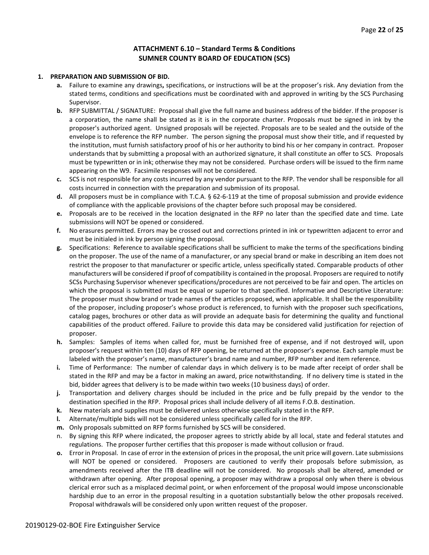#### **ATTACHMENT 6.10 – Standard Terms & Conditions SUMNER COUNTY BOARD OF EDUCATION (SCS)**

#### **1. PREPARATION AND SUBMISSION OF BID.**

- **a.** Failure to examine any drawings**,** specifications, or instructions will be at the proposer's risk. Any deviation from the stated terms, conditions and specifications must be coordinated with and approved in writing by the SCS Purchasing Supervisor.
- **b.** RFP SUBMITTAL / SIGNATURE: Proposal shall give the full name and business address of the bidder. If the proposer is a corporation, the name shall be stated as it is in the corporate charter. Proposals must be signed in ink by the proposer's authorized agent. Unsigned proposals will be rejected. Proposals are to be sealed and the outside of the envelope is to reference the RFP number. The person signing the proposal must show their title, and if requested by the institution, must furnish satisfactory proof of his or her authority to bind his or her company in contract. Proposer understands that by submitting a proposal with an authorized signature, it shall constitute an offer to SCS. Proposals must be typewritten or in ink; otherwise they may not be considered. Purchase orders will be issued to the firm name appearing on the W9. Facsimile responses will not be considered.
- **c.** SCS is not responsible for any costs incurred by any vendor pursuant to the RFP. The vendor shall be responsible for all costs incurred in connection with the preparation and submission of its proposal.
- **d.** All proposers must be in compliance with T.C.A. § 62-6-119 at the time of proposal submission and provide evidence of compliance with the applicable provisions of the chapter before such proposal may be considered.
- **e.** Proposals are to be received in the location designated in the RFP no later than the specified date and time. Late submissions will NOT be opened or considered.
- **f.** No erasures permitted. Errors may be crossed out and corrections printed in ink or typewritten adjacent to error and must be initialed in ink by person signing the proposal.
- **g.** Specifications: Reference to available specifications shall be sufficient to make the terms of the specifications binding on the proposer. The use of the name of a manufacturer, or any special brand or make in describing an item does not restrict the proposer to that manufacturer or specific article, unless specifically stated. Comparable products of other manufacturers will be considered if proof of compatibility is contained in the proposal. Proposers are required to notify SCSs Purchasing Supervisor whenever specifications/procedures are not perceived to be fair and open. The articles on which the proposal is submitted must be equal or superior to that specified. Informative and Descriptive Literature: The proposer must show brand or trade names of the articles proposed, when applicable. It shall be the responsibility of the proposer, including proposer's whose product is referenced, to furnish with the proposer such specifications, catalog pages, brochures or other data as will provide an adequate basis for determining the quality and functional capabilities of the product offered. Failure to provide this data may be considered valid justification for rejection of proposer.
- **h.** Samples: Samples of items when called for, must be furnished free of expense, and if not destroyed will, upon proposer's request within ten (10) days of RFP opening, be returned at the proposer's expense. Each sample must be labeled with the proposer's name, manufacturer's brand name and number, RFP number and item reference.
- **i.** Time of Performance: The number of calendar days in which delivery is to be made after receipt of order shall be stated in the RFP and may be a factor in making an award, price notwithstanding. If no delivery time is stated in the bid, bidder agrees that delivery is to be made within two weeks (10 business days) of order.
- **j.** Transportation and delivery charges should be included in the price and be fully prepaid by the vendor to the destination specified in the RFP. Proposal prices shall include delivery of all items F.O.B. destination.
- **k.** New materials and supplies must be delivered unless otherwise specifically stated in the RFP.
- **l.** Alternate/multiple bids will not be considered unless specifically called for in the RFP.
- **m.** Only proposals submitted on RFP forms furnished by SCS will be considered.
- n. By signing this RFP where indicated, the proposer agrees to strictly abide by all local, state and federal statutes and regulations. The proposer further certifies that this proposer is made without collusion or fraud.
- **o.** Error in Proposal. In case of error in the extension of prices in the proposal, the unit price will govern. Late submissions will NOT be opened or considered. Proposers are cautioned to verify their proposals before submission, as amendments received after the ITB deadline will not be considered. No proposals shall be altered, amended or withdrawn after opening. After proposal opening, a proposer may withdraw a proposal only when there is obvious clerical error such as a misplaced decimal point, or when enforcement of the proposal would impose unconscionable hardship due to an error in the proposal resulting in a quotation substantially below the other proposals received. Proposal withdrawals will be considered only upon written request of the proposer.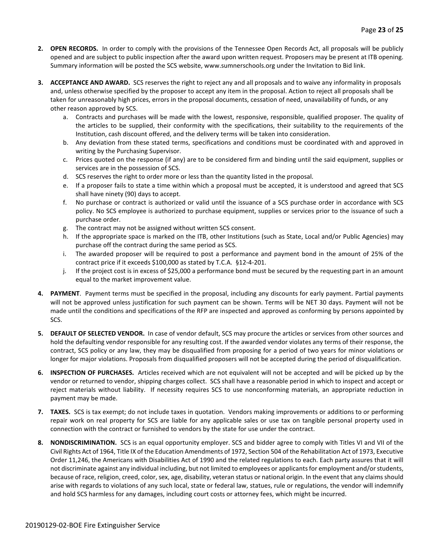- **2. OPEN RECORDS.** In order to comply with the provisions of the Tennessee Open Records Act, all proposals will be publicly opened and are subject to public inspection after the award upon written request. Proposers may be present at ITB opening. Summary information will be posted the SCS website, www.sumnerschools.org under the Invitation to Bid link.
- **3. ACCEPTANCE AND AWARD.** SCS reserves the right to reject any and all proposals and to waive any informality in proposals and, unless otherwise specified by the proposer to accept any item in the proposal. Action to reject all proposals shall be taken for unreasonably high prices, errors in the proposal documents, cessation of need, unavailability of funds, or any other reason approved by SCS.
	- a. Contracts and purchases will be made with the lowest, responsive, responsible, qualified proposer. The quality of the articles to be supplied, their conformity with the specifications, their suitability to the requirements of the Institution, cash discount offered, and the delivery terms will be taken into consideration.
	- b. Any deviation from these stated terms, specifications and conditions must be coordinated with and approved in writing by the Purchasing Supervisor.
	- c. Prices quoted on the response (if any) are to be considered firm and binding until the said equipment, supplies or services are in the possession of SCS.
	- d. SCS reserves the right to order more or less than the quantity listed in the proposal.
	- e. If a proposer fails to state a time within which a proposal must be accepted, it is understood and agreed that SCS shall have ninety (90) days to accept.
	- f. No purchase or contract is authorized or valid until the issuance of a SCS purchase order in accordance with SCS policy. No SCS employee is authorized to purchase equipment, supplies or services prior to the issuance of such a purchase order.
	- g. The contract may not be assigned without written SCS consent.
	- h. If the appropriate space is marked on the ITB, other Institutions (such as State, Local and/or Public Agencies) may purchase off the contract during the same period as SCS.
	- i. The awarded proposer will be required to post a performance and payment bond in the amount of 25% of the contract price if it exceeds \$100,000 as stated by T.C.A. §12-4-201.
	- j. If the project cost is in excess of \$25,000 a performance bond must be secured by the requesting part in an amount equal to the market improvement value.
- **4. PAYMENT**. Payment terms must be specified in the proposal, including any discounts for early payment. Partial payments will not be approved unless justification for such payment can be shown. Terms will be NET 30 days. Payment will not be made until the conditions and specifications of the RFP are inspected and approved as conforming by persons appointed by SCS.
- **5. DEFAULT OF SELECTED VENDOR.** In case of vendor default, SCS may procure the articles or services from other sources and hold the defaulting vendor responsible for any resulting cost. If the awarded vendor violates any terms of their response, the contract, SCS policy or any law, they may be disqualified from proposing for a period of two years for minor violations or longer for major violations. Proposals from disqualified proposers will not be accepted during the period of disqualification.
- **6. INSPECTION OF PURCHASES.** Articles received which are not equivalent will not be accepted and will be picked up by the vendor or returned to vendor, shipping charges collect. SCS shall have a reasonable period in which to inspect and accept or reject materials without liability. If necessity requires SCS to use nonconforming materials, an appropriate reduction in payment may be made.
- **7. TAXES.** SCS is tax exempt; do not include taxes in quotation. Vendors making improvements or additions to or performing repair work on real property for SCS are liable for any applicable sales or use tax on tangible personal property used in connection with the contract or furnished to vendors by the state for use under the contract.
- **8. NONDISCRIMINATION.** SCS is an equal opportunity employer. SCS and bidder agree to comply with Titles VI and VII of the Civil Rights Act of 1964, Title IX of the Education Amendments of 1972, Section 504 of the Rehabilitation Act of 1973, Executive Order 11,246, the Americans with Disabilities Act of 1990 and the related regulations to each. Each party assures that it will not discriminate against any individual including, but not limited to employees or applicants for employment and/or students, because of race, religion, creed, color, sex, age, disability, veteran status or national origin. In the event that any claims should arise with regards to violations of any such local, state or federal law, statues, rule or regulations, the vendor will indemnify and hold SCS harmless for any damages, including court costs or attorney fees, which might be incurred.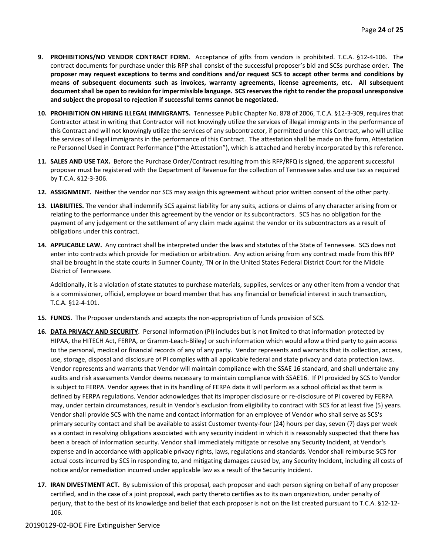- **9. PROHIBITIONS/NO VENDOR CONTRACT FORM.** Acceptance of gifts from vendors is prohibited. T.C.A. §12-4-106. The contract documents for purchase under this RFP shall consist of the successful proposer's bid and SCSs purchase order. **The proposer may request exceptions to terms and conditions and/or request SCS to accept other terms and conditions by means of subsequent documents such as invoices, warranty agreements, license agreements, etc. All subsequent document shall be open to revision for impermissible language. SCS reserves the right to render the proposal unresponsive and subject the proposal to rejection if successful terms cannot be negotiated.**
- **10. PROHIBITION ON HIRING ILLEGAL IMMIGRANTS.** Tennessee Public Chapter No. 878 of 2006, T.C.A. §12-3-309, requires that Contractor attest in writing that Contractor will not knowingly utilize the services of illegal immigrants in the performance of this Contract and will not knowingly utilize the services of any subcontractor, if permitted under this Contract, who will utilize the services of illegal immigrants in the performance of this Contract. The attestation shall be made on the form, Attestation re Personnel Used in Contract Performance ("the Attestation"), which is attached and hereby incorporated by this reference.
- **11. SALES AND USE TAX.** Before the Purchase Order/Contract resulting from this RFP/RFQ is signed, the apparent successful proposer must be registered with the Department of Revenue for the collection of Tennessee sales and use tax as required by T.C.A. §12-3-306.
- **12. ASSIGNMENT.** Neither the vendor nor SCS may assign this agreement without prior written consent of the other party.
- **13. LIABILITIES.** The vendor shall indemnify SCS against liability for any suits, actions or claims of any character arising from or relating to the performance under this agreement by the vendor or its subcontractors. SCS has no obligation for the payment of any judgement or the settlement of any claim made against the vendor or its subcontractors as a result of obligations under this contract.
- **14. APPLICABLE LAW.** Any contract shall be interpreted under the laws and statutes of the State of Tennessee. SCS does not enter into contracts which provide for mediation or arbitration. Any action arising from any contract made from this RFP shall be brought in the state courts in Sumner County, TN or in the United States Federal District Court for the Middle District of Tennessee.

Additionally, it is a violation of state statutes to purchase materials, supplies, services or any other item from a vendor that is a commissioner, official, employee or board member that has any financial or beneficial interest in such transaction, T.C.A. §12-4-101.

- **15. FUNDS**. The Proposer understands and accepts the non-appropriation of funds provision of SCS.
- **16. DATA PRIVACY AND SECURITY**. Personal Information (PI) includes but is not limited to that information protected by HIPAA, the HITECH Act, FERPA, or Gramm-Leach-Bliley) or such information which would allow a third party to gain access to the personal, medical or financial records of any of any party. Vendor represents and warrants that its collection, access, use, storage, disposal and disclosure of PI complies with all applicable federal and state privacy and data protection laws. Vendor represents and warrants that Vendor will maintain compliance with the SSAE 16 standard, and shall undertake any audits and risk assessments Vendor deems necessary to maintain compliance with SSAE16. If PI provided by SCS to Vendor is subject to FERPA. Vendor agrees that in its handling of FERPA data it will perform as a school official as that term is defined by FERPA regulations. Vendor acknowledges that its improper disclosure or re-disclosure of PI covered by FERPA may, under certain circumstances, result in Vendor's exclusion from eligibility to contract with SCS for at least five (5) years. Vendor shall provide SCS with the name and contact information for an employee of Vendor who shall serve as SCS's primary security contact and shall be available to assist Customer twenty-four (24) hours per day, seven (7) days per week as a contact in resolving obligations associated with any security incident in which it is reasonably suspected that there has been a breach of information security. Vendor shall immediately mitigate or resolve any Security Incident, at Vendor's expense and in accordance with applicable privacy rights, laws, regulations and standards. Vendor shall reimburse SCS for actual costs incurred by SCS in responding to, and mitigating damages caused by, any Security Incident, including all costs of notice and/or remediation incurred under applicable law as a result of the Security Incident.
- **17. IRAN DIVESTMENT ACT.** By submission of this proposal, each proposer and each person signing on behalf of any proposer certified, and in the case of a joint proposal, each party thereto certifies as to its own organization, under penalty of perjury, that to the best of its knowledge and belief that each proposer is not on the list created pursuant to T.C.A. §12-12- 106.